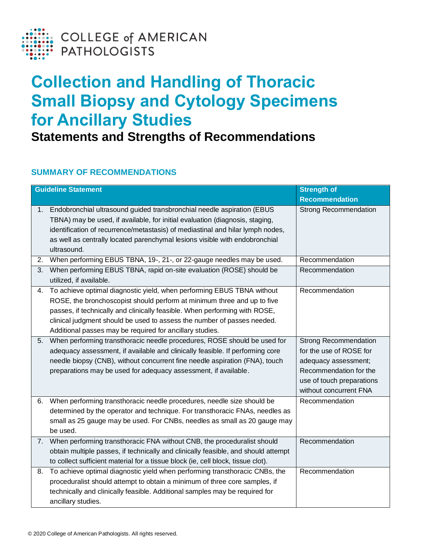

## **Collection and Handling of Thoracic Small Biopsy and Cytology Specimens for Ancillary Studies**

**Statements and Strengths of Recommendations**

## **SUMMARY OF RECOMMENDATIONS**

| <b>Guideline Statement</b> |                                                                                                                                                                                                                                                                                                                                                                        | <b>Strength of</b>                                                                                                                                               |
|----------------------------|------------------------------------------------------------------------------------------------------------------------------------------------------------------------------------------------------------------------------------------------------------------------------------------------------------------------------------------------------------------------|------------------------------------------------------------------------------------------------------------------------------------------------------------------|
|                            |                                                                                                                                                                                                                                                                                                                                                                        | <b>Recommendation</b>                                                                                                                                            |
| 1.                         | Endobronchial ultrasound guided transbronchial needle aspiration (EBUS<br>TBNA) may be used, if available, for initial evaluation (diagnosis, staging,<br>identification of recurrence/metastasis) of mediastinal and hilar lymph nodes,<br>as well as centrally located parenchymal lesions visible with endobronchial<br>ultrasound.                                 | <b>Strong Recommendation</b>                                                                                                                                     |
| 2.                         | When performing EBUS TBNA, 19-, 21-, or 22-gauge needles may be used.                                                                                                                                                                                                                                                                                                  | Recommendation                                                                                                                                                   |
| 3.                         | When performing EBUS TBNA, rapid on-site evaluation (ROSE) should be<br>utilized, if available.                                                                                                                                                                                                                                                                        | Recommendation                                                                                                                                                   |
| 4.                         | To achieve optimal diagnostic yield, when performing EBUS TBNA without<br>ROSE, the bronchoscopist should perform at minimum three and up to five<br>passes, if technically and clinically feasible. When performing with ROSE,<br>clinical judgment should be used to assess the number of passes needed.<br>Additional passes may be required for ancillary studies. | Recommendation                                                                                                                                                   |
| 5.                         | When performing transthoracic needle procedures, ROSE should be used for<br>adequacy assessment, if available and clinically feasible. If performing core<br>needle biopsy (CNB), without concurrent fine needle aspiration (FNA), touch<br>preparations may be used for adequacy assessment, if available.                                                            | <b>Strong Recommendation</b><br>for the use of ROSE for<br>adequacy assessment;<br>Recommendation for the<br>use of touch preparations<br>without concurrent FNA |
| 6.                         | When performing transthoracic needle procedures, needle size should be<br>determined by the operator and technique. For transthoracic FNAs, needles as<br>small as 25 gauge may be used. For CNBs, needles as small as 20 gauge may<br>be used.                                                                                                                        | Recommendation                                                                                                                                                   |
| 7.                         | When performing transthoracic FNA without CNB, the proceduralist should<br>obtain multiple passes, if technically and clinically feasible, and should attempt<br>to collect sufficient material for a tissue block (ie, cell block, tissue clot).                                                                                                                      | Recommendation                                                                                                                                                   |
| 8.                         | To achieve optimal diagnostic yield when performing transthoracic CNBs, the<br>proceduralist should attempt to obtain a minimum of three core samples, if<br>technically and clinically feasible. Additional samples may be required for<br>ancillary studies.                                                                                                         | Recommendation                                                                                                                                                   |